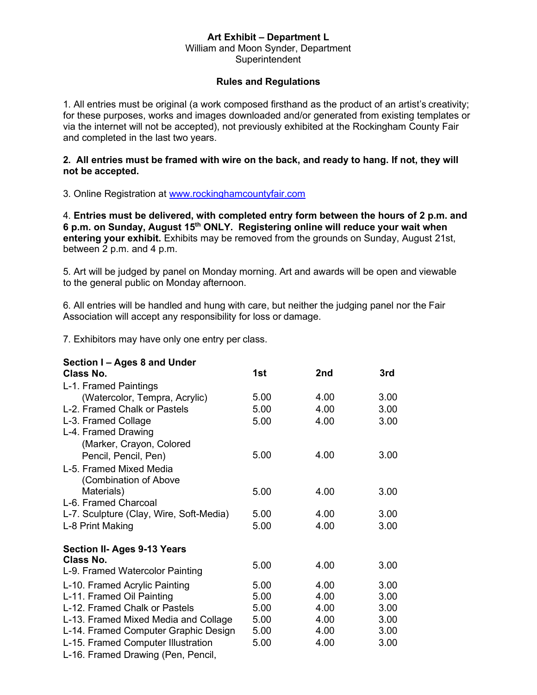## **Art Exhibit – Department L**

William and Moon Synder, Department **Superintendent** 

## **Rules and Regulations**

1. All entries must be original (a work composed firsthand as the product of an artist's creativity; for these purposes, works and images downloaded and/or generated from existing templates or via the internet will not be accepted), not previously exhibited at the Rockingham County Fair and completed in the last two years.

## **2. All entries must be framed with wire on the back, and ready to hang. If not, they will not be accepted.**

3. Online Registration at [www.rockinghamcountyfair.com](http://www.rockinghamcountyfair.com/)

4. **Entries must be delivered, with completed entry form between the hours of 2 p.m. and 6 p.m. on Sunday, August 15 th ONLY. Registering online will reduce your wait when entering your exhibit.** Exhibits may be removed from the grounds on Sunday, August 21st, between 2 p.m. and 4 p.m.

5. Art will be judged by panel on Monday morning. Art and awards will be open and viewable to the general public on Monday afternoon.

6. All entries will be handled and hung with care, but neither the judging panel nor the Fair Association will accept any responsibility for loss or damage.

7. Exhibitors may have only one entry per class.

| Section I - Ages 8 and Under            |      |      |      |
|-----------------------------------------|------|------|------|
| Class No.                               | 1st  | 2nd  | 3rd  |
| L-1. Framed Paintings                   |      |      |      |
| (Watercolor, Tempra, Acrylic)           | 5.00 | 4.00 | 3.00 |
| L-2. Framed Chalk or Pastels            | 5.00 | 4.00 | 3.00 |
| L-3. Framed Collage                     | 5.00 | 4.00 | 3.00 |
| L-4. Framed Drawing                     |      |      |      |
| (Marker, Crayon, Colored                |      |      |      |
| Pencil, Pencil, Pen)                    | 5.00 | 4.00 | 3.00 |
| L-5. Framed Mixed Media                 |      |      |      |
| (Combination of Above                   |      |      |      |
| Materials)                              | 5.00 | 4.00 | 3.00 |
| L-6. Framed Charcoal                    |      |      |      |
| L-7. Sculpture (Clay, Wire, Soft-Media) | 5.00 | 4.00 | 3.00 |
| L-8 Print Making                        | 5.00 | 4.00 | 3.00 |
| <b>Section II- Ages 9-13 Years</b>      |      |      |      |
| Class No.                               |      |      |      |
| L-9. Framed Watercolor Painting         | 5.00 | 4.00 | 3.00 |
| L-10. Framed Acrylic Painting           | 5.00 | 4.00 | 3.00 |
| L-11. Framed Oil Painting               | 5.00 | 4.00 | 3.00 |
| L-12. Framed Chalk or Pastels           | 5.00 | 4.00 | 3.00 |
| L-13. Framed Mixed Media and Collage    | 5.00 | 4.00 | 3.00 |
| L-14. Framed Computer Graphic Design    | 5.00 | 4.00 | 3.00 |
| L-15. Framed Computer Illustration      | 5.00 | 4.00 | 3.00 |
| L-16. Framed Drawing (Pen, Pencil,      |      |      |      |